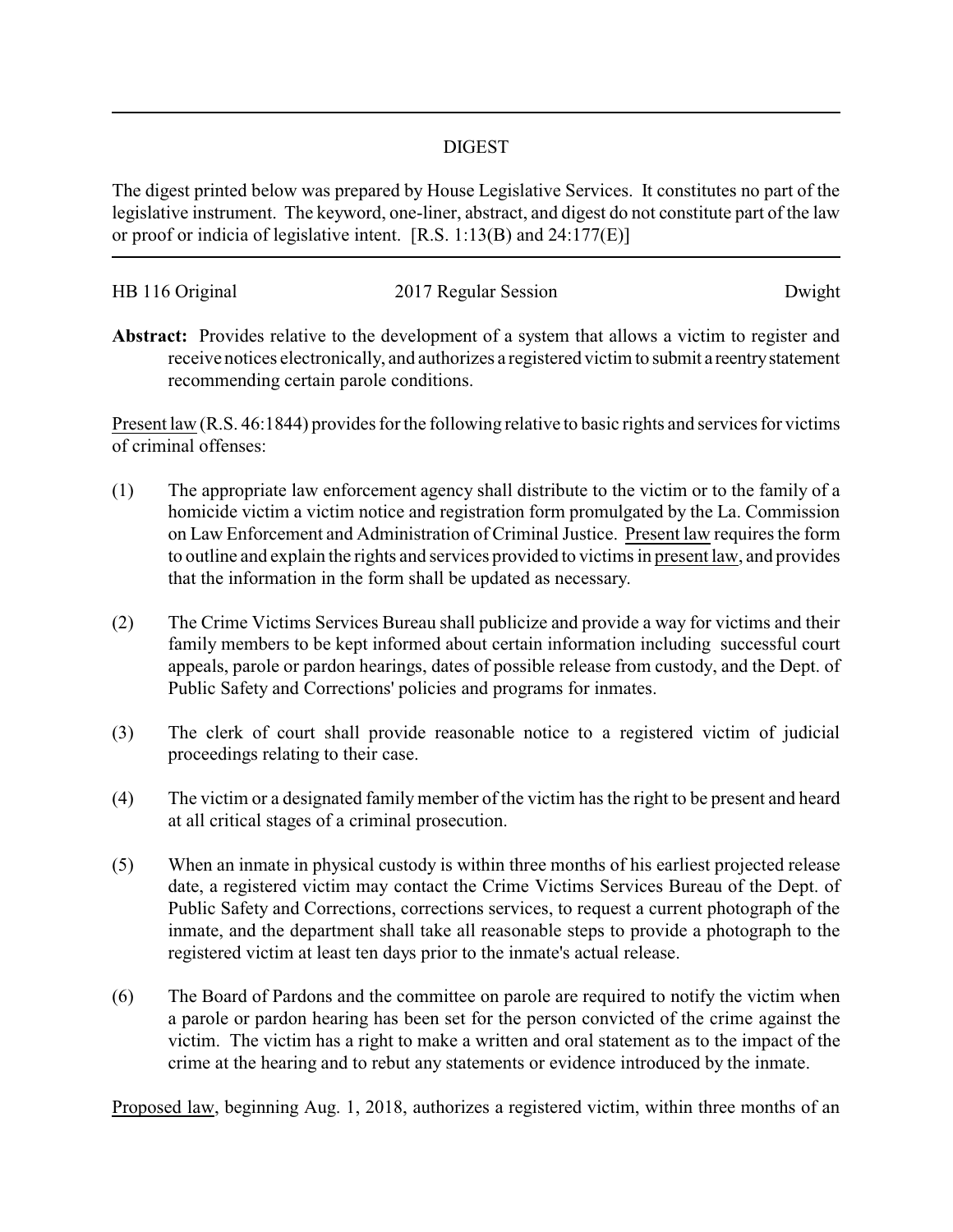## DIGEST

The digest printed below was prepared by House Legislative Services. It constitutes no part of the legislative instrument. The keyword, one-liner, abstract, and digest do not constitute part of the law or proof or indicia of legislative intent. [R.S. 1:13(B) and 24:177(E)]

| HB 116 Original | 2017 Regular Session | Dwight |
|-----------------|----------------------|--------|
|                 |                      |        |

**Abstract:** Provides relative to the development of a system that allows a victim to register and receive notices electronically, and authorizes a registered victim to submit a reentrystatement recommending certain parole conditions.

Present law (R.S. 46:1844) provides for the following relative to basic rights and services for victims of criminal offenses:

- (1) The appropriate law enforcement agency shall distribute to the victim or to the family of a homicide victim a victim notice and registration form promulgated by the La. Commission on Law Enforcement and Administration of Criminal Justice. Present law requires the form to outline and explain the rights and services provided to victims in present law, and provides that the information in the form shall be updated as necessary.
- (2) The Crime Victims Services Bureau shall publicize and provide a way for victims and their family members to be kept informed about certain information including successful court appeals, parole or pardon hearings, dates of possible release from custody, and the Dept. of Public Safety and Corrections' policies and programs for inmates.
- (3) The clerk of court shall provide reasonable notice to a registered victim of judicial proceedings relating to their case.
- (4) The victim or a designated family member of the victim has the right to be present and heard at all critical stages of a criminal prosecution.
- (5) When an inmate in physical custody is within three months of his earliest projected release date, a registered victim may contact the Crime Victims Services Bureau of the Dept. of Public Safety and Corrections, corrections services, to request a current photograph of the inmate, and the department shall take all reasonable steps to provide a photograph to the registered victim at least ten days prior to the inmate's actual release.
- (6) The Board of Pardons and the committee on parole are required to notify the victim when a parole or pardon hearing has been set for the person convicted of the crime against the victim. The victim has a right to make a written and oral statement as to the impact of the crime at the hearing and to rebut any statements or evidence introduced by the inmate.

Proposed law, beginning Aug. 1, 2018, authorizes a registered victim, within three months of an